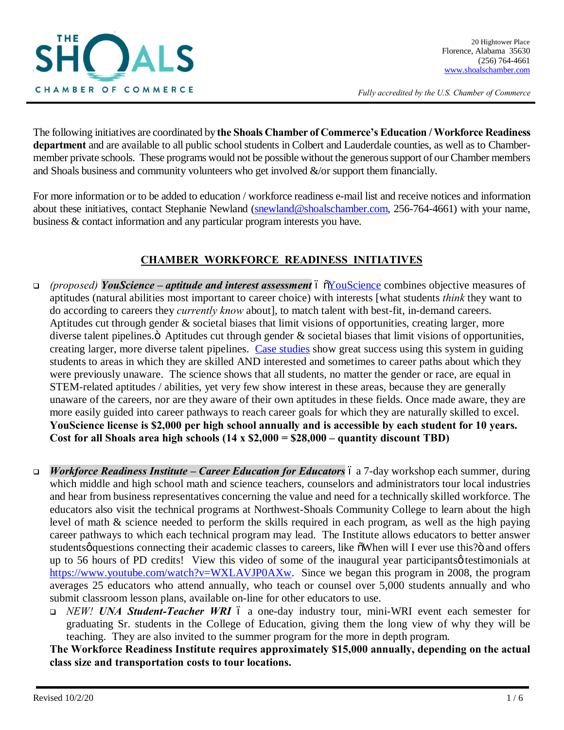

*Fully accredited by the U.S. Chamber of Commerce*

The following initiatives are coordinated by **the Shoals Chamber of Commerce's Education / Workforce Readiness department** and are available to all public school students in Colbert and Lauderdale counties, as well as to Chambermember private schools. These programs would not be possible without the generous support of our Chamber members and Shoals business and community volunteers who get involved &/or support them financially.

For more information or to be added to education / workforce readiness e-mail list and receive notices and information about these initiatives, contact Stephanie Newland (snewland@shoalschamber.com, 256-764-4661) with your name, business & contact information and any particular program interests you have.

# **CHAMBER WORKFORCE READINESS INITIATIVES**

- <sup>q</sup> *(proposed) YouScience – aptitude and interest assessment* "YouScience combines objective measures of aptitudes (natural abilities most important to career choice) with interests [what students *think* they want to do according to careers they *currently know* about], to match talent with best-fit, in-demand careers. Aptitudes cut through gender & societal biases that limit visions of opportunities, creating larger, more diverse talent pipelines. $\ddot{o}$  Aptitudes cut through gender  $\&$  societal biases that limit visions of opportunities, creating larger, more diverse talent pipelines. Case studies show great success using this system in guiding students to areas in which they are skilled AND interested and sometimes to career paths about which they were previously unaware. The science shows that all students, no matter the gender or race, are equal in STEM-related aptitudes / abilities, yet very few show interest in these areas, because they are generally unaware of the careers, nor are they aware of their own aptitudes in these fields. Once made aware, they are more easily guided into career pathways to reach career goals for which they are naturally skilled to excel. **YouScience license is \$2,000 per high school annually and is accessible by each student for 10 years. Cost for all Shoals area high schools (14 x \$2,000 = \$28,000 – quantity discount TBD)**
- *Workforce Readiness Institute Career Education for Educators* 6 a 7-day workshop each summer, during which middle and high school math and science teachers, counselors and administrators tour local industries and hear from business representatives concerning the value and need for a technically skilled workforce. The educators also visit the technical programs at Northwest-Shoals Community College to learn about the high level of math & science needed to perform the skills required in each program, as well as the high paying career pathways to which each technical program may lead. The Institute allows educators to better answer studentsø questions connecting their academic classes to careers, like  $\delta$ When will I ever use this?" and offers up to 56 hours of PD credits! View this video of some of the inaugural year participants  $\phi$  testimonials at https://www.youtube.com/watch?v=WXLAVJP0AXw. Since we began this program in 2008, the program averages 25 educators who attend annually, who teach or counsel over 5,000 students annually and who submit classroom lesson plans, available on-line for other educators to use.
	- <sup>q</sup> *NEW! UNA Student-Teacher WRI* a one-day industry tour, mini-WRI event each semester for graduating Sr. students in the College of Education, giving them the long view of why they will be teaching. They are also invited to the summer program for the more in depth program.

**The Workforce Readiness Institute requires approximately \$15,000 annually, depending on the actual class size and transportation costs to tour locations.**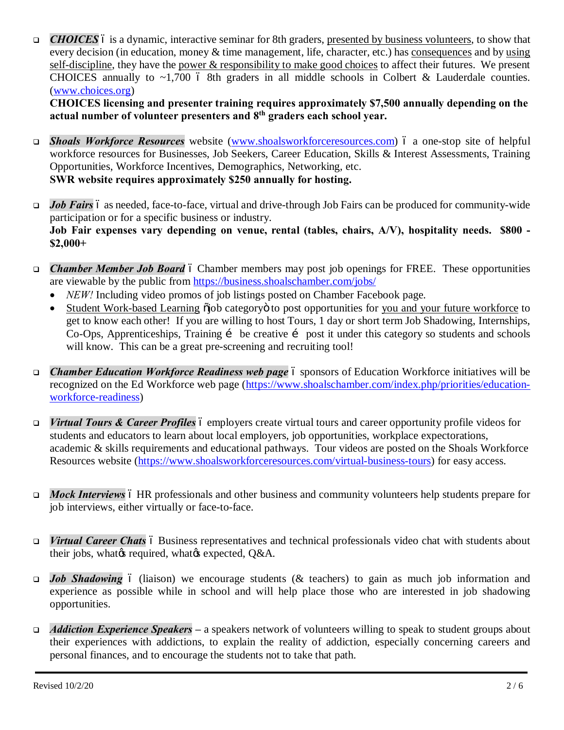**□** *CHOICES* 6 is a dynamic, interactive seminar for 8th graders, presented by business volunteers, to show that every decision (in education, money & time management, life, character, etc.) has consequences and by using self-discipline, they have the power & responsibility to make good choices to affect their futures. We present CHOICES annually to  $\sim$ 1,700 6 8th graders in all middle schools in Colbert & Lauderdale counties. (www.choices.org)

**CHOICES licensing and presenter training requires approximately \$7,500 annually depending on the actual number of volunteer presenters and 8th graders each school year.**

- <sup>q</sup> *Shoals Workforce Resources* website (www.shoalsworkforceresources.com) a one-stop site of helpful workforce resources for Businesses, Job Seekers, Career Education, Skills & Interest Assessments, Training Opportunities, Workforce Incentives, Demographics, Networking, etc. **SWR website requires approximately \$250 annually for hosting.**
- **Job Fairs** 6 as needed, face-to-face, virtual and drive-through Job Fairs can be produced for community-wide participation or for a specific business or industry. **Job Fair expenses vary depending on venue, rental (tables, chairs, A/V), hospitality needs. \$800 - \$2,000+**
- □ *Chamber Member Job Board* ó Chamber members may post job openings for FREE. These opportunities are viewable by the public from https://business.shoalschamber.com/jobs/
	- *NEW!* Including video promos of job listings posted on Chamber Facebook page.
	- Student Work-based Learning  $\ddot{\rm o}$  is category to post opportunities for you and your future workforce to get to know each other! If you are willing to host Tours, 1 day or short term Job Shadowing, Internships, Co-Ops, Apprenticeships, Training i be creative i post it under this category so students and schools will know. This can be a great pre-screening and recruiting tool!
- *Chamber Education Workforce Readiness web page* 6 sponsors of Education Workforce initiatives will be recognized on the Ed Workforce web page (https://www.shoalschamber.com/index.php/priorities/educationworkforce-readiness)
- *Virtual Tours & Career Profiles* 6 employers create virtual tours and career opportunity profile videos for students and educators to learn about local employers, job opportunities, workplace expectorations, academic & skills requirements and educational pathways. Tour videos are posted on the Shoals Workforce Resources website (https://www.shoalsworkforceresources.com/virtual-business-tours) for easy access.
- *Mock Interviews* 6 HR professionals and other business and community volunteers help students prepare for job interviews, either virtually or face-to-face.
- *Virtual Career Chats* 6 Business representatives and technical professionals video chat with students about their jobs, what ts required, what ts expected, O&A.
- **Job Shadowing** 6 (liaison) we encourage students (& teachers) to gain as much job information and experience as possible while in school and will help place those who are interested in job shadowing opportunities.
- <sup>q</sup> *Addiction Experience Speakers* **–** a speakers network of volunteers willing to speak to student groups about their experiences with addictions, to explain the reality of addiction, especially concerning careers and personal finances, and to encourage the students not to take that path.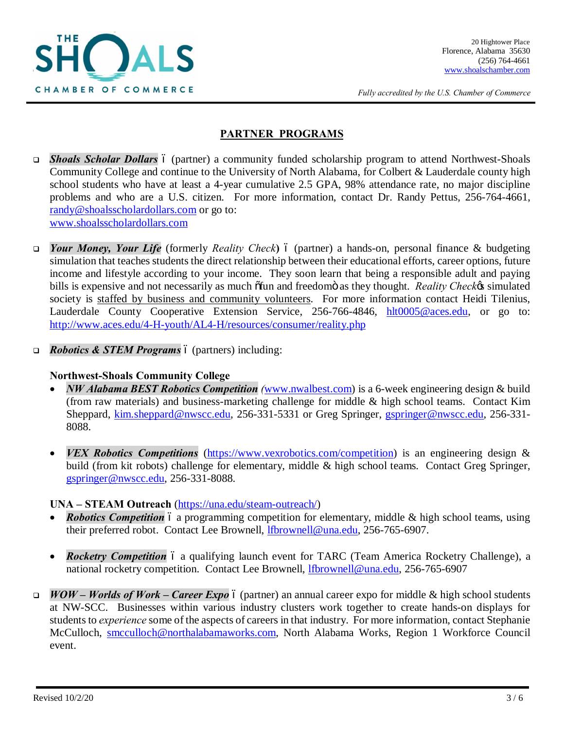

*Fully accredited by the U.S. Chamber of Commerce*

### **PARTNER PROGRAMS**

- **Shoals Scholar Dollars** 6 (partner) a community funded scholarship program to attend Northwest-Shoals Community College and continue to the University of North Alabama, for Colbert & Lauderdale county high school students who have at least a 4-year cumulative 2.5 GPA, 98% attendance rate, no major discipline problems and who are a U.S. citizen. For more information, contact Dr. Randy Pettus, 256-764-4661, randy@shoalsscholardollars.com or go to: www.shoalsscholardollars.com
- *Your Money, Your Life* (formerly *Reality Check*)  $\acute{o}$  (partner) a hands-on, personal finance & budgeting simulation that teaches students the direct relationship between their educational efforts, career options, future income and lifestyle according to your income. They soon learn that being a responsible adult and paying bills is expensive and not necessarily as much  $\delta$ fun and freedom $\ddot{o}$  as they thought. *Reality Check*<sup>'s</sup> simulated society is staffed by business and community volunteers. For more information contact Heidi Tilenius, Lauderdale County Cooperative Extension Service, 256-766-4846, hlt0005@aces.edu, or go to: http://www.aces.edu/4-H-youth/AL4-H/resources/consumer/reality.php
- *Robotics & STEM Programs* 6 (partners) including:

#### **Northwest-Shoals Community College**

- · *NW Alabama BEST Robotics Competition (*www.nwalbest.com) is a 6-week engineering design & build (from raw materials) and business-marketing challenge for middle & high school teams. Contact Kim Sheppard, kim.sheppard@nwscc.edu, 256-331-5331 or Greg Springer, gspringer@nwscc.edu, 256-331- 8088.
- *VEX Robotics Competitions* (https://www.vexrobotics.com/competition) is an engineering design & build (from kit robots) challenge for elementary, middle & high school teams. Contact Greg Springer, gspringer@nwscc.edu, 256-331-8088.

#### **UNA – STEAM Outreach** (https://una.edu/steam-outreach/)

- *Robotics Competition* 6 a programming competition for elementary, middle & high school teams, using their preferred robot. Contact Lee Brownell, lfbrownell@una.edu, 256-765-6907.
- *Rocketry Competition* 6 a qualifying launch event for TARC (Team America Rocketry Challenge), a national rocketry competition. Contact Lee Brownell, lfbrownell@una.edu, 256-765-6907
- <sup>q</sup> *WOW – Worlds of Work – Career Expo* (partner) an annual career expo for middle & high school students at NW-SCC. Businesses within various industry clusters work together to create hands-on displays for students to *experience* some of the aspects of careers in that industry. For more information, contact Stephanie McCulloch, smcculloch@northalabamaworks.com, North Alabama Works, Region 1 Workforce Council event.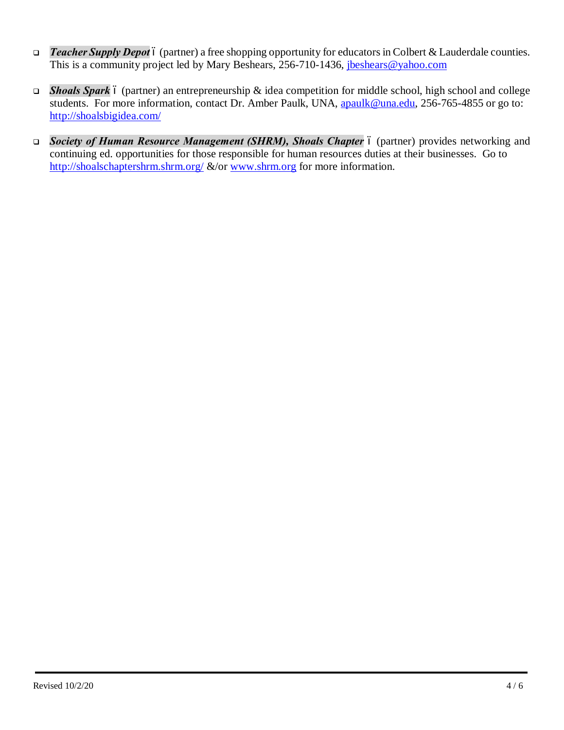- **□** *Teacher Supply Depot* 6 (partner) a free shopping opportunity for educators in Colbert & Lauderdale counties. This is a community project led by Mary Beshears, 256-710-1436, jbeshears@yahoo.com
- **□** *Shoals Spark* 6 (partner) an entrepreneurship & idea competition for middle school, high school and college students. For more information, contact Dr. Amber Paulk, UNA, apaulk@una.edu, 256-765-4855 or go to: http://shoalsbigidea.com/
- □ *Society of Human Resource Management (SHRM), Shoals Chapter* 6 (partner) provides networking and continuing ed. opportunities for those responsible for human resources duties at their businesses. Go to http://shoalschaptershrm.shrm.org/ &/or www.shrm.org for more information.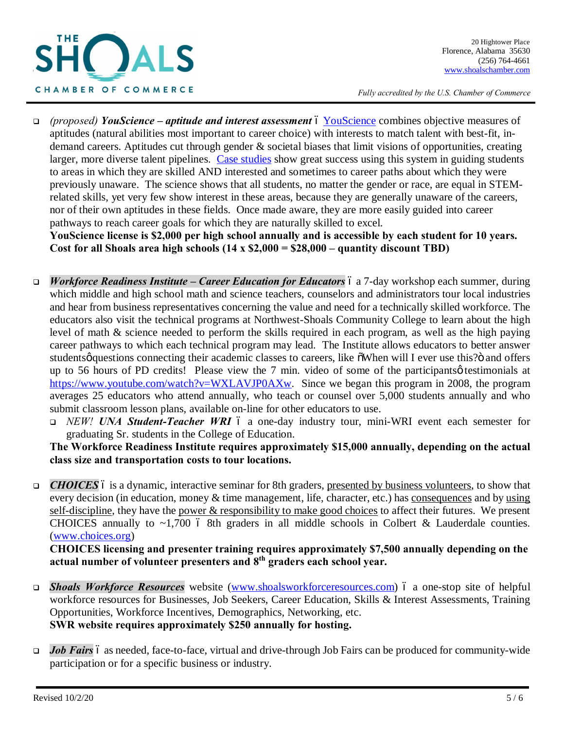

*Fully accredited by the U.S. Chamber of Commerce*

<sup>q</sup> *(proposed) YouScience – aptitude and interest assessment* – YouScience combines objective measures of aptitudes (natural abilities most important to career choice) with interests to match talent with best-fit, indemand careers. Aptitudes cut through gender & societal biases that limit visions of opportunities, creating larger, more diverse talent pipelines. Case studies show great success using this system in guiding students to areas in which they are skilled AND interested and sometimes to career paths about which they were previously unaware. The science shows that all students, no matter the gender or race, are equal in STEMrelated skills, yet very few show interest in these areas, because they are generally unaware of the careers, nor of their own aptitudes in these fields. Once made aware, they are more easily guided into career pathways to reach career goals for which they are naturally skilled to excel.

**YouScience license is \$2,000 per high school annually and is accessible by each student for 10 years. Cost for all Shoals area high schools (14 x \$2,000 = \$28,000 – quantity discount TBD)**

- *Workforce Readiness Institute Career Education for Educators* 6 a 7-day workshop each summer, during which middle and high school math and science teachers, counselors and administrators tour local industries and hear from business representatives concerning the value and need for a technically skilled workforce. The educators also visit the technical programs at Northwest-Shoals Community College to learn about the high level of math & science needed to perform the skills required in each program, as well as the high paying career pathways to which each technical program may lead. The Institute allows educators to better answer studentsø questions connecting their academic classes to careers, like  $\tilde{\text{o}}$ When will I ever use this?" and offers up to 56 hours of PD credits! Please view the 7 min. video of some of the participants  $\phi$  testimonials at https://www.youtube.com/watch?v=WXLAVJP0AXw. Since we began this program in 2008, the program averages 25 educators who attend annually, who teach or counsel over 5,000 students annually and who submit classroom lesson plans, available on-line for other educators to use.
	- <sup>q</sup> *NEW! UNA Student-Teacher WRI* a one-day industry tour, mini-WRI event each semester for graduating Sr. students in the College of Education.

**The Workforce Readiness Institute requires approximately \$15,000 annually, depending on the actual class size and transportation costs to tour locations.**

**□** *CHOICES* 6 is a dynamic, interactive seminar for 8th graders, presented by business volunteers, to show that every decision (in education, money & time management, life, character, etc.) has consequences and by using self-discipline, they have the power & responsibility to make good choices to affect their futures. We present CHOICES annually to  $\sim$ 1,700 6 8th graders in all middle schools in Colbert & Lauderdale counties. (www.choices.org)

**CHOICES licensing and presenter training requires approximately \$7,500 annually depending on the actual number of volunteer presenters and 8th graders each school year.**

- <sup>q</sup> *Shoals Workforce Resources* website (www.shoalsworkforceresources.com) a one-stop site of helpful workforce resources for Businesses, Job Seekers, Career Education, Skills & Interest Assessments, Training Opportunities, Workforce Incentives, Demographics, Networking, etc. **SWR website requires approximately \$250 annually for hosting.**
- **Job Fairs** 6 as needed, face-to-face, virtual and drive-through Job Fairs can be produced for community-wide participation or for a specific business or industry.